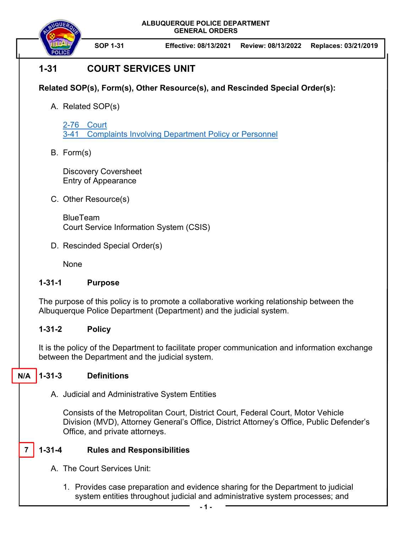**ALBUQUERQUE POLICE DEPARTMENT GENERAL ORDERS** 



**SOP 1-31 Effective: 08/13/2021 Review: 08/13/2022 Replaces: 03/21/2019** 

# **1-31 COURT SERVICES UNIT**

## **Related SOP(s), Form(s), Other Resource(s), and Rescinded Special Order(s):**

A. Related SOP(s)

2-76 Court 3-41 Complaints Involving Department Policy or Personnel

B. Form(s)

Discovery Coversheet Entry of Appearance

C. Other Resource(s)

BlueTeam Court Service Information System (CSIS)

D. Rescinded Special Order(s)

None

### **1-31-1 Purpose**

The purpose of this policy is to promote a collaborative working relationship between the Albuquerque Police Department (Department) and the judicial system.

### **1-31-2 Policy**

It is the policy of the Department to facilitate proper communication and information exchange between the Department and the judicial system.

#### **1-31-3 Definitions N/A**

A. Judicial and Administrative System Entities

Consists of the Metropolitan Court, District Court, Federal Court, Motor Vehicle Division (MVD), Attorney General's Office, District Attorney's Office, Public Defender's Office, and private attorneys.

#### **1-31-4 Rules and Responsibilities 7**

- A. The Court Services Unit:
	- 1. Provides case preparation and evidence sharing for the Department to judicial system entities throughout judicial and administrative system processes; and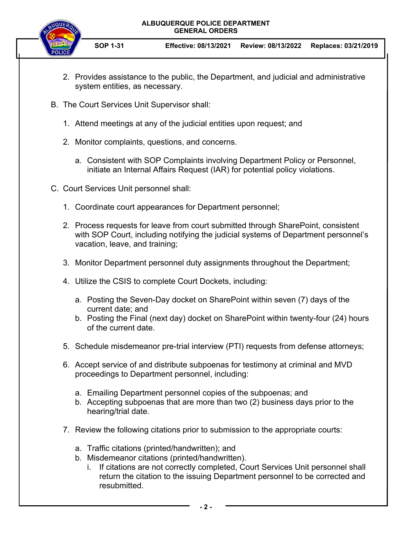#### **ALBUQUERQUE POLICE DEPARTMENT GENERAL ORDERS**



**SOP 1-31 Effective: 08/13/2021 Review: 08/13/2022 Replaces: 03/21/2019** 

- 2. Provides assistance to the public, the Department, and judicial and administrative system entities, as necessary.
- B. The Court Services Unit Supervisor shall:
	- 1. Attend meetings at any of the judicial entities upon request; and
	- 2. Monitor complaints, questions, and concerns.
		- a. Consistent with SOP Complaints involving Department Policy or Personnel, initiate an Internal Affairs Request (IAR) for potential policy violations.
- C. Court Services Unit personnel shall:
	- 1. Coordinate court appearances for Department personnel;
	- 2. Process requests for leave from court submitted through SharePoint, consistent with SOP Court, including notifying the judicial systems of Department personnel's vacation, leave, and training;
	- 3. Monitor Department personnel duty assignments throughout the Department;
	- 4. Utilize the CSIS to complete Court Dockets, including:
		- a. Posting the Seven-Day docket on SharePoint within seven (7) days of the current date; and
		- b. Posting the Final (next day) docket on SharePoint within twenty-four (24) hours of the current date.
	- 5. Schedule misdemeanor pre-trial interview (PTI) requests from defense attorneys;
	- 6. Accept service of and distribute subpoenas for testimony at criminal and MVD proceedings to Department personnel, including:
		- a. Emailing Department personnel copies of the subpoenas; and
		- b. Accepting subpoenas that are more than two (2) business days prior to the hearing/trial date.
	- 7. Review the following citations prior to submission to the appropriate courts:
		- a. Traffic citations (printed/handwritten); and
		- b. Misdemeanor citations (printed/handwritten).
			- i. If citations are not correctly completed, Court Services Unit personnel shall return the citation to the issuing Department personnel to be corrected and resubmitted.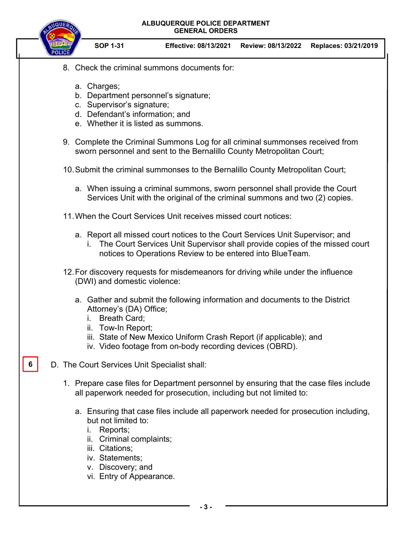**ALBUQUERQUE POLICE DEPARTMENT GENERAL ORDERS** 



**SOP 1-31 Effective: 08/13/2021 Review: 08/13/2022 Replaces: 03/21/2019** 

- 8. Check the criminal summons documents for:
	- a. Charges;
	- b. Department personnel's signature;
	- c. Supervisor's signature;
	- d. Defendant's information; and
	- e. Whether it is listed as summons.
- 9. Complete the Criminal Summons Log for all criminal summonses received from sworn personnel and sent to the Bernalillo County Metropolitan Court;
- 10. Submit the criminal summonses to the Bernalillo County Metropolitan Court;
	- a. When issuing a criminal summons, sworn personnel shall provide the Court Services Unit with the original of the criminal summons and two (2) copies.
- 11. When the Court Services Unit receives missed court notices:
	- a. Report all missed court notices to the Court Services Unit Supervisor; and
		- i. The Court Services Unit Supervisor shall provide copies of the missed court notices to Operations Review to be entered into BlueTeam.
- 12. For discovery requests for misdemeanors for driving while under the influence (DWI) and domestic violence:
	- a. Gather and submit the following information and documents to the District Attorney's (DA) Office;
		- i. Breath Card;
		- ii. Tow-In Report;
		- iii. State of New Mexico Uniform Crash Report (if applicable); and
		- iv. Video footage from on-body recording devices (OBRD).
- D. The Court Services Unit Specialist shall: **6** 
	- 1. Prepare case files for Department personnel by ensuring that the case files include all paperwork needed for prosecution, including but not limited to:
		- a. Ensuring that case files include all paperwork needed for prosecution including, but not limited to:
			- i. Reports;
			- ii. Criminal complaints;
			- iii. Citations;
			- iv. Statements;
			- v. Discovery; and
			- vi. Entry of Appearance.